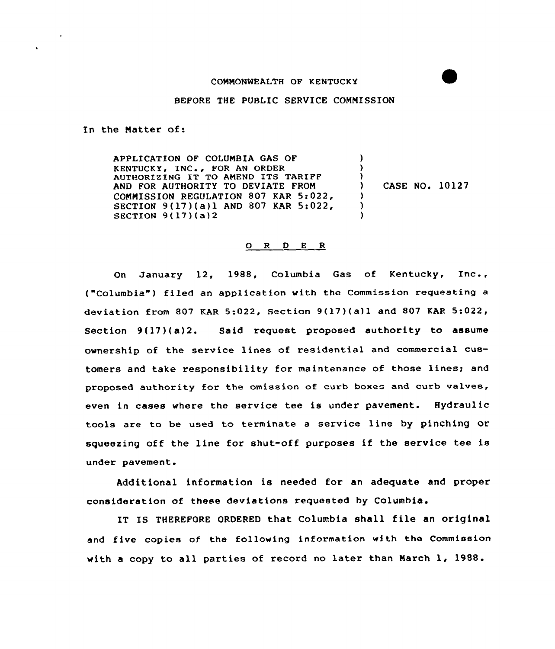## CONNONWEALTH OF KENTUCKY

## BEFORE THE PUBLIC SERVICE CONNISSION

In the Natter of:

APPLICATION OF COLUNBIA GAS OF KENTUCKY, INC., FOR AN ORDER AUTHORIZING IT TO AMEND ITS TARIFF AND FOR AUTHORITY TO DEVIATE FRON CONNISSION REGULATION 807 KAR 5:022, SECTION 9(17)(a)l AND 807 KAR 5:022, SECTION 9(17)(a)2 )  $\lambda$  $\left\{ \right\}$ ) CASE NO. 10127 )  $\lambda$ )

## 0 <sup>R</sup> <sup>D</sup> <sup>E</sup> <sup>R</sup>

On January 12, 1988, Columbia Gas of Kentucky, Inc., ("Columbia") filed an application with the Commission requesting a deviation from 807 KAR 5:022, Section 9(17)(a)1 and 807 KAR 5:022, Section 9(17)(a)2. Said request proposed authority to assume ownership of the service lines of residential and commercial customers and take responsibility for maintenance of those lines; and proposed authority for the omission of curb boxes and curb valves, even in cases where the service tee is under pavement. Hydraulic tools are to be used to terminate a service line by pinching or squeezing off the line for shut-off purposes if the service tee is under pavement.

Additional information is needed for an adequate and proper consideration of these deviations requested by Columbia.

IT IS THEREFORE ORDERED that Columbia shall file an original and five copies of the following information with the Commission with <sup>a</sup> copy to all parties of record no later than March 1, 1988.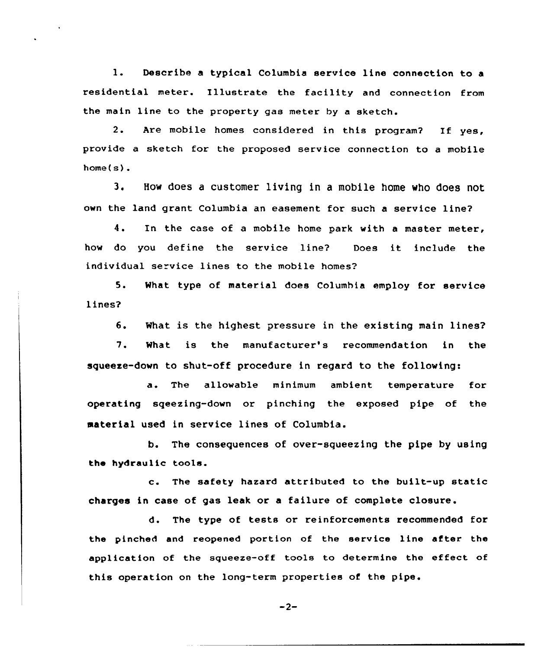1. Describe <sup>a</sup> typical Columbia service line connection to <sup>a</sup> residential meter. Illustrate the facility and connection from the main line to the property gas meter by a sketch.

2. Are mobile homes considered in this program? If yes, provide a sketch for the proposed service connection to a mobile home(s).

3. How does <sup>a</sup> customer living in a mobile home who does not own the land grant Columbia an easement for such a service line?

4. In the case of <sup>a</sup> mobile home park with <sup>a</sup> master meter, how do you define the service line? Does it include the individual service lines to the mobile homes?

5. What type of material does Columhia employ for service lines?

6. What is the highest pressure in the existing main lines?

7. What is the manufacturer's recommendation in the squeeze-down to shut-off procedure in regard to the following:

a. The allowable minimum ambient temperature for operating sqeezing-down or pinching the exposed pipe of the material used in service lines of Columbia.

b. The consequences of over-squeezing the pipe by using the hydraulic tools.

c. The safety hazard attributed to the built-up static charges in case of gas leak or a failure of complete closure.

d. The type of tests or reinforcements recommended for the pinched and reopened portion of the service line after the application of the squeeze-off tools to determine the effect of this operation on the long-term properties of the pipe.

 $-2-$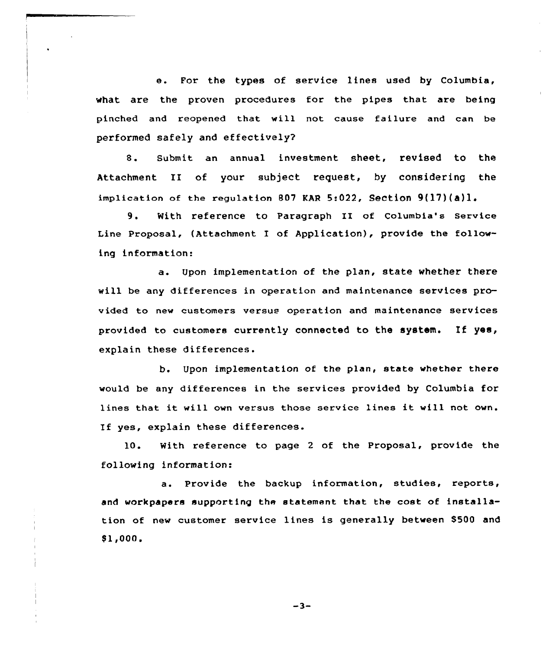e. For the types of service lines used by Columbia, what are the proven procedures for the pipes that are being pinched and reopened that will not cause failure and can be performed safely and effectively?

8. Submit an annual investment sheet, revised to the Attachment II of your subject request, by considering the implication of the regulation 807 KAR 5:022, Section  $9(17)(a)1$ .

9. With reference to Paragraph II of Columbia's service Line Proposal, (Attachment I of Application), provide the following information:

a. Upon implementation af the plan, state whether there will be any differences in operation and maintenance services provided to new customers versus operation and maintenance services pravided to customers currently connected to the system. If yes, explain these differences.

b. Upon implementation of the plan, state whether there would be any differences in the services provided by Columbia for lines that it will own versus those service lines it will not own. If yes, explain these differences.

10. With reference to page <sup>2</sup> of the Proposal, provide the following information:

a. Provide the backup information, studies, reports, and workpapers supporting the statement that the cost of installation of new customer service lines is generally between \$500 and \$ 1,000,

 $-3-$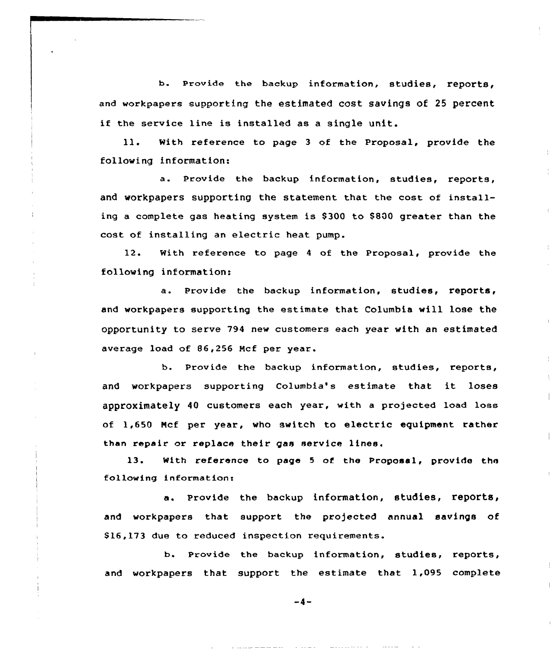b. Provide the backup information, studies, reports, and workpapers supporting the estimated cost savings of 25 percent if the service line is installed as <sup>a</sup> single unit.

ll. With reference to page <sup>3</sup> of the Proposal, provide the following information:

a. Provide the backup information, studies, reports, and workpapers supporting the statement that the cost of installing a complete gas heating system is \$300 to \$800 greater than the cost of installing an electric heat pump.

12. With reference to page <sup>4</sup> of the Proposal, provide the following information:

a. Provide the backup information, studies, reports, and workpapers supporting the estimate that Columbia will lose the opportunity to serve 794 new customers each year with an estimated average load of 86,256 Ncf per year.

b. Provide the backup information, studies, reports, and workpapers supporting Columbia's estimate that it loses approximately 40 customers each year, with <sup>a</sup> projected load loss of 1,650 Hcf per year, who switch to electric equipment rather than repair or replace their gas service lines.

13. With reference to page <sup>5</sup> of the Proposal, provide the following informations

a. Provide the backup information, studies, reports, and workpapers that support the projected annual savings of \$16,173 due to reduced inspection requirements.

b. Provide the backup information, studies, reports, and workpapers that support the estimate that 1,095 complete

 $-4-$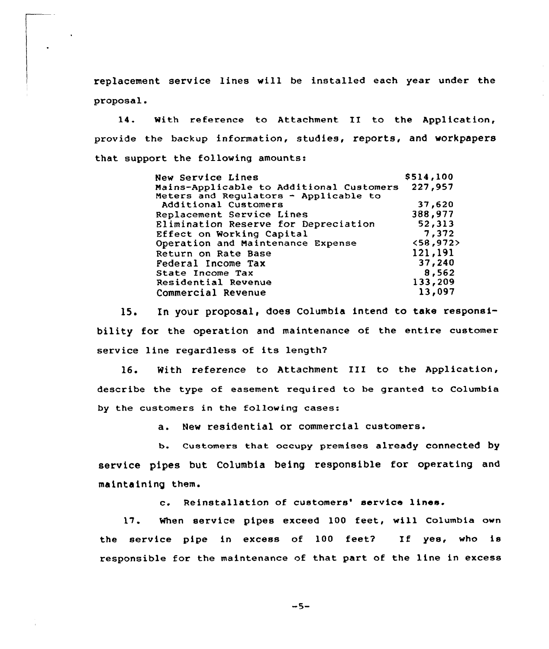replacement service lines will be installed each year under the proposal.

14. With reference to Attachment II to the Application, provide the backup information, studies, reports, and workpapers that support the following amounts:

| New Service Lines                        | \$514,100 |
|------------------------------------------|-----------|
| Mains-Applicable to Additional Customers | 227,957   |
| Meters and Regulators - Applicable to    |           |
| Additional Customers                     | 37.620    |
| Replacement Service Lines                | 388,977   |
| Elimination Reserve for Depreciation     | 52,313    |
| Effect on Working Capital                | 7,372     |
| Operation and Maintenance Expense        | <58,972   |
| Return on Rate Base                      | 121,191   |
| Federal Income Tax                       | 37,240    |
| State Income Tax                         | 8,562     |
| Residential Revenue                      | 133,209   |
| Commercial Revenue                       | 13,097    |

15. In your proposal, does Columbia intend to take responsibility for the operation and maintenance of the entire customer service line regardless of its length?

16. With reference to Attachment III to the Applicaticn, describe the type of easement required to be granted to Columbia by the customers in the following cases:

a. New residential or commercial customers.

b. Customers that occupy premises already connected by service pipes but Columbia being responsible for operating and ma inta ining them.

c. Reinstallation of customers' service lines.

17. When service pipes exceed 100 feet, will Columbia own the service pipe in excess of 100 feet? If yes, who is responsible for the maintenance of that part of the line in excess

 $-5-$